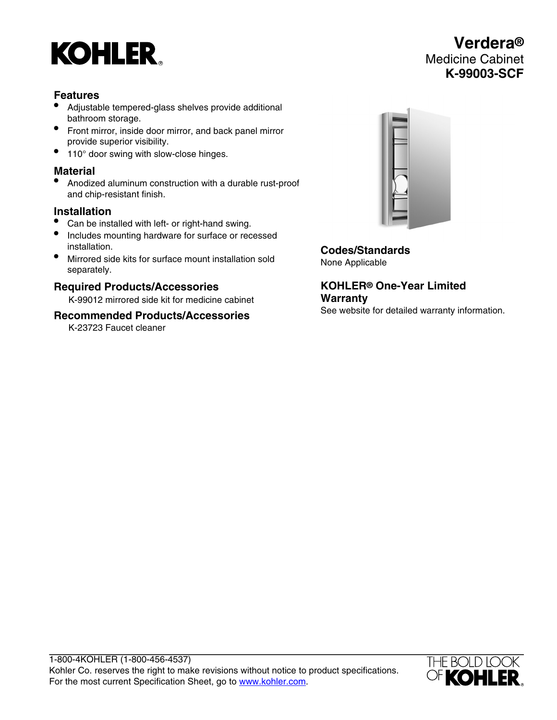# **KOHLER**

# **Features**

- Adjustable tempered-glass shelves provide additional bathroom storage.
- Front mirror, inside door mirror, and back panel mirror provide superior visibility.
- 110° door swing with slow-close hinges.

# **Material**

• Anodized aluminum construction with a durable rust-proof and chip-resistant finish.

#### **Installation**

- Can be installed with left- or right-hand swing.
- Includes mounting hardware for surface or recessed installation.
- Mirrored side kits for surface mount installation sold separately.

### **Required Products/Accessories**

K-99012 mirrored side kit for medicine cabinet

#### **Recommended Products/Accessories**

K-23723 Faucet cleaner



**Codes/Standards** None Applicable

**KOHLER® One-Year Limited Warranty** See website for detailed warranty information.

1-800-4KOHLER (1-800-456-4537) Kohler Co. reserves the right to make revisions without notice to product specifications. For the most current Specification Sheet, go to [www.kohler.com](http://www.kohler.com).



**Verdera®** Medicine Cabinet **K-99003-SCF**